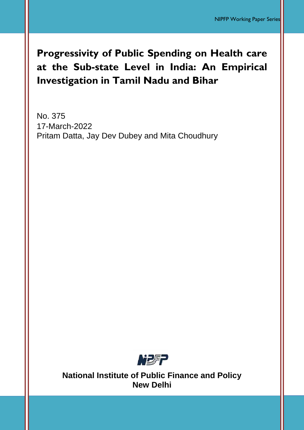# **Progressivity of Public Spending on Health care at the Sub-state Level in India: An Empirical Investigation in Tamil Nadu and Bihar**

No. 375 17-March-2022 Pritam Datta, Jay Dev Dubey and Mita Choudhury



**National Institute of Public Finance and Policy New Delhi**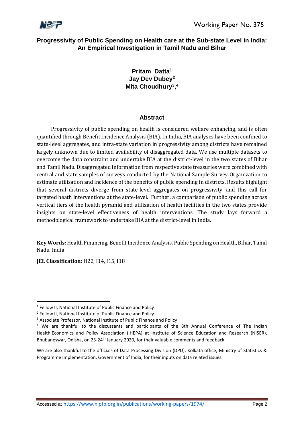

# **Progressivity of Public Spending on Health care at the Sub-state Level in India: An Empirical Investigation in Tamil Nadu and Bihar**

# **Pritam Datta<sup>1</sup> Jay Dev Dubey<sup>2</sup> Mita Choudhury<sup>3</sup> , 4**

## **Abstract**

Progressivity of public spending on health is considered welfare enhancing, and is often quantified through Benefit Incidence Analysis (BIA). In India, BIA analyses have been confined to state-level aggregates, and intra-state variation in progressivity among districts have remained largely unknown due to limited availability of disaggregated data. We use multiple datasets to overcome the data constraint and undertake BIA at the district-level in the two states of Bihar and Tamil Nadu. Disaggregated information from respective state treasuries were combined with central and state samples of surveys conducted by the National Sample Survey Organization to estimate utilisation and incidence of the benefits of public spending in districts. Results highlight that several districts diverge from state-level aggregates on progressivity, and this call for targeted heath interventions at the state-level. Further, a comparison of public spending across vertical tiers of the health pyramid and utilization of health facilities in the two states provide insights on state-level effectiveness of health interventions. The study lays forward a methodological framework to undertake BIA at the district-level in India.

**Key Words:** Health Financing, Benefit Incidence Analysis, Public Spending on Health, Bihar, Tamil Nadu. India

**JEL Classification:** H22, I14, I15, I18

1

<sup>&</sup>lt;sup>1</sup> Fellow II, National Institute of Public Finance and Policy

<sup>&</sup>lt;sup>2</sup> Fellow II, National Institute of Public Finance and Policy

<sup>3</sup> Associate Professor, National Institute of Public Finance and Policy

<sup>4</sup> We are thankful to the discussants and participants of the 8th Annual Conference of The Indian Health Economics and Policy Association (IHEPA) at Institute of Science Education and Research (NISER), Bhubaneswar, Odisha, on 23-24<sup>th</sup> January 2020, for their valuable comments and feedback.

We are also thankful to the officials of Data Processing Division (DPD), Kolkata office, Ministry of Statistics & Programme Implementation, Government of India, for their inputs on data related issues.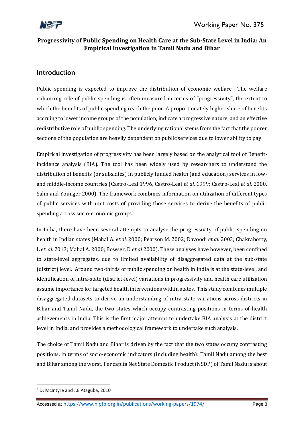

# **Progressivity of Public Spending on Health Care at the Sub-State Level in India: An Empirical Investigation in Tamil Nadu and Bihar**

# **Introduction**

Public spending is expected to improve the distribution of economic welfare.<sup>5</sup> The welfare enhancing role of public spending is often measured in terms of "progressivity", the extent to which the benefits of public spending reach the poor. A proportionately higher share of benefits accruing to lower income groups of the population, indicate a progressive nature, and an effective redistributive role of public spending. The underlying rational stems from the fact that the poorer sections of the population are heavily dependent on public services due to lower ability to pay.

Empirical investigation of progressivity has been largely based on the analytical tool of Benefitincidence analysis (BIA). The tool has been widely used by researchers to understand the distribution of benefits (or subsidies) in publicly funded health (and education) services in lowand middle-income countries (Castro-Leal 1996, Castro-Leal *et al.* 1999; Castro-Leal *et al.* 2000, Sahn and Younger 2000). The framework combines information on utilization of different types of public services with unit costs of providing those services to derive the benefits of public spending across socio-economic groups.

In India, there have been several attempts to analyse the progressivity of public spending on health in Indian states (Mahal A. *et.al.* 2000; Pearson M. 2002; Davoodi *et.al.* 2003; Chakraborty, L *et. al.* 2013; Mahal A. 2000; Bowser, D *et.al* 2000). These analyses have however, been confined to state-level aggregates, due to limited availability of disaggregated data at the sub-state (district) level. Around two-thirds of public spending on health in India is at the state-level, and identification of intra-state (district-level) variations in progressivity and health care utilization assume importance for targeted health interventions within states. This study combines multiple disaggregated datasets to derive an understanding of intra-state variations across districts in Bihar and Tamil Nadu, the two states which occupy contrasting positions in terms of health achievements in India. This is the first major attempt to undertake BIA analysis at the district level in India, and provides a methodological framework to undertake such analysis.

The choice of Tamil Nadu and Bihar is driven by the fact that the two states occupy contrasting positions. in terms of socio-economic indicators (including health): Tamil Nadu among the best and Bihar among the worst. Per capita Net State Domestic Product (NSDP) of Tamil Nadu is about

**<sup>.</sup>** <sup>5</sup> D. McIntyre and J.E Ataguba, 2010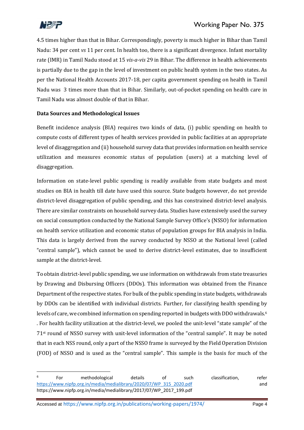

4.5 times higher than that in Bihar. Correspondingly, poverty is much higher in Bihar than Tamil Nadu: 34 per cent *vs* 11 per cent. In health too, there is a significant divergence. Infant mortality rate (IMR) in Tamil Nadu stood at 15 *vis-a-vis* 29 in Bihar. The difference in health achievements is partially due to the gap in the level of investment on public health system in the two states. As per the National Health Accounts 2017-18, per capita government spending on health in Tamil Nadu was 3 times more than that in Bihar. Similarly, out-of-pocket spending on health care in Tamil Nadu was almost double of that in Bihar.

## **Data Sources and Methodological Issues**

Benefit incidence analysis (BIA) requires two kinds of data, (i) public spending on health to compute costs of different types of health services provided in public facilities at an appropriate level of disaggregation and (ii) household survey data that provides information on health service utilization and measures economic status of population (users) at a matching level of disaggregation.

Information on state-level public spending is readily available from state budgets and most studies on BIA in health till date have used this source. State budgets however, do not provide district-level disaggregation of public spending, and this has constrained district-level analysis. There are similar constraints on household survey data. Studies have extensively used the survey on social consumption conducted by the National Sample Survey Office's (NSSO) for information on health service utilization and economic status of population groups for BIA analysis in India. This data is largely derived from the survey conducted by NSSO at the National level (called "central sample"), which cannot be used to derive district-level estimates, due to insufficient sample at the district-level.

To obtain district-level public spending, we use information on withdrawals from state treasuries by Drawing and Disbursing Officers (DDOs). This information was obtained from the Finance Department of the respective states. For bulk of the public spending in state budgets, withdrawals by DDOs can be identified with individual districts. Further, for classifying health spending by levels of care, we combined information on spending reported in budgets with DDO withdrawals. 6 . For health facility utilization at the district-level, we pooled the unit-level "state sample" of the 71st round of NSSO survey with unit-level information of the "central sample". It may be noted that in each NSS round, only a part of the NSSO frame is surveyed by the Field Operation Division (FOD) of NSSO and is used as the "central sample". This sample is the basis for much of the

**<sup>.</sup>** 6 For methodological details of such classification, refer [https://www.nipfp.org.in/media/medialibrary/2020/07/WP\\_315\\_2020.pdf](https://www.nipfp.org.in/media/medialibrary/2020/07/WP_315_2020.pdf) and https://www.nipfp.org.in/media/medialibrary/2017/07/WP\_2017\_199.pdf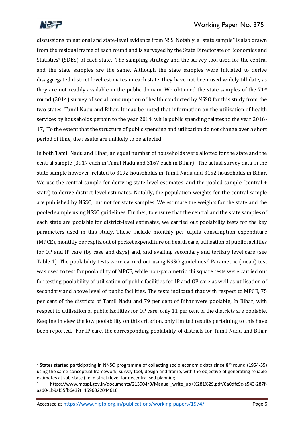

 $\overline{a}$ 

discussions on national and state-level evidence from NSS. Notably, a "state sample" is also drawn from the residual frame of each round and is surveyed by the State Directorate of Economics and Statistics<sup>7</sup> (SDES) of each state. The sampling strategy and the survey tool used for the central and the state samples are the same. Although the state samples were initiated to derive disaggregated district-level estimates in each state, they have not been used widely till date, as they are not readily available in the public domain. We obtained the state samples of the  $71<sup>st</sup>$ round (2014) survey of social consumption of health conducted by NSSO for this study from the two states, Tamil Nadu and Bihar. It may be noted that information on the utilization of health services by households pertain to the year 2014, while public spending relates to the year 2016- 17, To the extent that the structure of public spending and utilization do not change over a short period of time, the results are unlikely to be affected.

In both Tamil Nadu and Bihar, an equal number of households were allotted for the state and the central sample (3917 each in Tamil Nadu and 3167 each in Bihar). The actual survey data in the state sample however, related to 3192 households in Tamil Nadu and 3152 households in Bihar. We use the central sample for deriving state-level estimates, and the pooled sample (central + state) to derive district-level estimates. Notably, the population weights for the central sample are published by NSSO, but not for state samples. We estimate the weights for the state and the pooled sample using NSSO guidelines. Further, to ensure that the central and the state samples of each state are poolable for district-level estimates, we carried out poolability tests for the key parameters used in this study. These include monthly per capita consumption expenditure (MPCE), monthly per capita out of pocket expenditure on health care, utilisation of public facilities for OP and IP care (by case and days) and, and availing secondary and tertiary level care (see Table 1). The poolability tests were carried out using NSSO guidelines.<sup>8</sup> Parametric (mean) test was used to test for poolability of MPCE, while non-parametric chi square tests were carried out for testing poolability of utilisation of public facilities for IP and OP care as well as utilisation of secondary and above level of public facilities. The tests indicated that with respect to MPCE, 75 per cent of the districts of Tamil Nadu and 79 per cent of Bihar were poolable, In Bihar, with respect to utilisation of public facilities for OP care, only 11 per cent of the districts are poolable. Keeping in view the low poolability on this criterion, only limited results pertaining to this have been reported. For IP care, the corresponding poolability of districts for Tamil Nadu and Bihar

<sup>&</sup>lt;sup>7</sup> States started participating in NNSO programme of collecting socio economic data since 8<sup>th</sup> round (1954-55) using the same conceptual framework, survey tool, design and frame, with the objective of generating reliable estimates at sub-state (i.e. district) level for decentralised planning.

https://www.mospi.gov.in/documents/213904/0/Manual\_write\_up+%281%29.pdf/0a0dfc9c-a543-287faad0-1b9af55fb6e3?t=1596022044616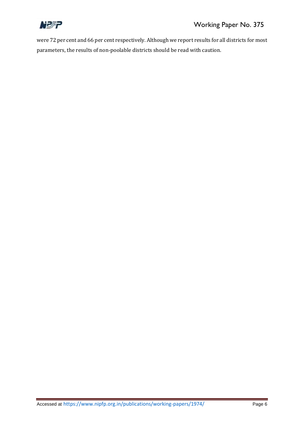

were 72 per cent and 66 per cent respectively. Although we report results for all districts for most parameters, the results of non-poolable districts should be read with caution.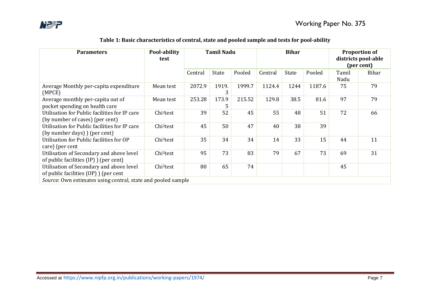

| <b>Parameters</b>                                                                  | Pool-ability<br>test  | <b>Tamil Nadu</b> |            | <b>Bihar</b> |         |       | <b>Proportion of</b><br>districts pool-able<br>(per cent) |               |       |
|------------------------------------------------------------------------------------|-----------------------|-------------------|------------|--------------|---------|-------|-----------------------------------------------------------|---------------|-------|
|                                                                                    |                       | Central           | State      | Pooled       | Central | State | Pooled                                                    | Tamil<br>Nadu | Bihar |
| Average Monthly per-capita expenditure<br>(MPCE)                                   | Mean test             | 2072.9            | 1919.<br>3 | 1999.7       | 1124.4  | 1244  | 1187.6                                                    | 75            | 79    |
| Average monthly per-capita out of<br>pocket spending on health care                | Mean test             | 253.28            | 173.9<br>5 | 215.52       | 129.8   | 38.5  | 81.6                                                      | 97            | 79    |
| Utilisation for Public facilities for IP care<br>(by number of cases) (per cent)   | Chi <sup>2</sup> test | 39                | 52         | 45           | 55      | 48    | 51                                                        | 72            | 66    |
| Utilisation for Public facilities for IP care<br>(by number days) ) (per cent)     | Chi <sup>2</sup> test | 45                | 50         | 47           | 40      | 38    | 39                                                        |               |       |
| Utilisation for Public facilities for OP<br>care) (per cent                        | Chi <sup>2</sup> test | 35                | 34         | 34           | 14      | 33    | 15                                                        | 44            | 11    |
| Utilisation of Secondary and above level<br>of public facilities (IP) ) (per cent) | Chi <sup>2</sup> test | 95                | 73         | 83           | 79      | 67    | 73                                                        | 69            | 31    |
| Utilisation of Secondary and above level<br>of public facilities (OP) ) (per cent  | Chi <sup>2</sup> test | 80                | 65         | 74           |         |       |                                                           | 45            |       |
| Source: Own estimates using central, state and pooled sample                       |                       |                   |            |              |         |       |                                                           |               |       |

# **Table 1: Basic characteristics of central, state and pooled sample and tests for pool-ability**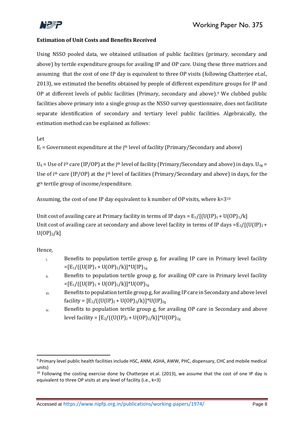

#### **Estimation of Unit Costs and Benefits Received**

Using NSSO pooled data, we obtained utilisation of public facilities (primary, secondary and above) by tertile expenditure groups for availing IP and OP care. Using these three matrices and assuming that the cost of one IP day is equivalent to three OP visits (following Chatterjee *et.al*., 2013), we estimated the benefits obtained by people of different expenditure groups for IP and OP at different levels of public facilities (Primary, secondary and above).<sup>9</sup> We clubbed public facilities above primary into a single group as the NSSO survey questionnaire, does not facilitate separate identification of secondary and tertiary level public facilities. Algebraically, the estimation method can be explained as follows:

Let

 $E_i$  = Government expenditure at the  $i<sup>th</sup>$  level of facility (Primary/Secondary and above)

 $U_{ij}$  = Use of i<sup>th</sup> care (IP/OP) at the j<sup>th</sup> level of facility (Primary/Secondary and above) in days.  $U_{iig}$  = Use of i<sup>th</sup> care (IP/OP) at the j<sup>th</sup> level of facilities (Primary/Secondary and above) in days, for the gth tertile group of income/expenditure.

Assuming, the cost of one IP day equivalent to k number of OP visits, where k=3<sup>10</sup>

Unit cost of availing care at Primary facility in terms of IP days =  $E_1/[(U(IP)_1 + U(OP)_1/k)]$ Unit cost of availing care at secondary and above level facility in terms of IP days = $E_2/[(U(IP)_2 +$  $U(OP)<sub>2</sub>/k$ ]

## Hence,

1

- $i$ . Benefits to population tertile group g, for availing IP care in Primary level facility  $=[E_1/((U(IP)_1 + U(OP)_1/k)]^*U(IP)_{1g}]$
- ii. Benefits to population tertile group g, for availing OP care in Primary level facility  $=[E_1/((U(IP)_1 + U(OP)_1/k)]^*U(OP)_{1g}]$
- $\ddot{u}$  Benefits to population tertile group g, for availing IP care in Secondary and above level facility =  $[E_2/((U(IP)_2 + U(OP)_2/k)]^*U(IP)_{2g}$
- iv. Benefits to population tertile group g, for availing OP care in Secondary and above level facility =  $[E_2/((U(IP)_2 + U(OP)_2/k)]^*U(OP)_{2g}$

<sup>9</sup> Primary level public health facilities include HSC, ANM, ASHA, AWW, PHC, dispensary, CHC and mobile medical units)

 $10$  Following the costing exercise done by Chatterjee et.al. (2013), we assume that the cost of one IP day is equivalent to three OP visits at any level of facility (i.e., k=3)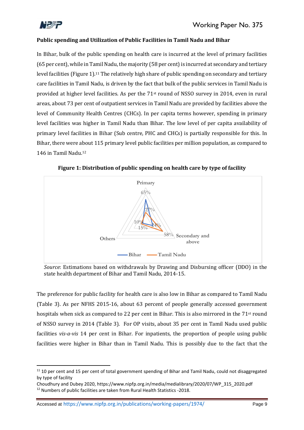

**.** 

#### **Public spending and Utilization of Public Facilities in Tamil Nadu and Bihar**

In Bihar, bulk of the public spending on health care is incurred at the level of primary facilities (65 per cent), while in Tamil Nadu, the majority (58 per cent) is incurred at secondary and tertiary level facilities (Figure 1).<sup>11</sup> The relatively high share of public spending on secondary and tertiary care facilities in Tamil Nadu, is driven by the fact that bulk of the public services in Tamil Nadu is provided at higher level facilities. As per the 71st round of NSSO survey in 2014, even in rural areas, about 73 per cent of outpatient services in Tamil Nadu are provided by facilities above the level of Community Health Centres (CHCs). In per capita terms however, spending in primary level facilities was higher in Tamil Nadu than Bihar. The low level of per capita availability of primary level facilities in Bihar (Sub centre, PHC and CHCs) is partially responsible for this. In Bihar, there were about 115 primary level public facilities per million population, as compared to 146 in Tamil Nadu.<sup>12</sup>



**Figure 1: Distribution of public spending on health care by type of facility**

*Source*: Estimations based on withdrawals by Drawing and Disbursing officer (DDO) in the state health department of Bihar and Tamil Nadu, 2014-15.

The preference for public facility for health care is also low in Bihar as compared to Tamil Nadu (Table 3). As per NFHS 2015-16, about 63 percent of people generally accessed government hospitals when sick as compared to 22 per cent in Bihar. This is also mirrored in the 71st round of NSSO survey in 2014 (Table 3). For OP visits, about 35 per cent in Tamil Nadu used public facilities *vis-a-vis* 14 per cent in Bihar. For inpatients, the proportion of people using public facilities were higher in Bihar than in Tamil Nadu. This is possibly due to the fact that the

<sup>&</sup>lt;sup>11</sup> 10 per cent and 15 per cent of total government spending of Bihar and Tamil Nadu, could not disaggregated by type of facility

Choudhury and Dubey 2020, https://www.nipfp.org.in/media/medialibrary/2020/07/WP\_315\_2020.pdf <sup>12</sup> Numbers of public facilities are taken from Rural Health Statistics -2018.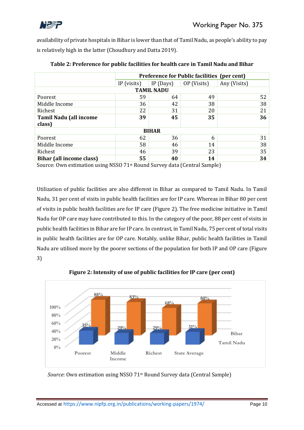

availability of private hospitals in Bihar is lower than that of Tamil Nadu, as people's ability to pay is relatively high in the latter (Choudhury and Datta 2019).

|                               | Preference for Public facilities (per cent) |          |             |              |  |  |
|-------------------------------|---------------------------------------------|----------|-------------|--------------|--|--|
|                               | IP (visits)                                 | IP(Days) | OP (Visits) | Any (Visits) |  |  |
|                               | <b>TAMIL NADU</b>                           |          |             |              |  |  |
| Poorest                       | 59                                          | 64       | 49          | 52           |  |  |
| Middle Income                 | 36                                          | 42       | 38          | 38           |  |  |
| Richest                       | 22                                          | 31       | 20          | 21           |  |  |
| <b>Tamil Nadu (all income</b> | 39                                          | 45       | 35          | 36           |  |  |
| class)                        |                                             |          |             |              |  |  |
| <b>BIHAR</b>                  |                                             |          |             |              |  |  |
| Poorest                       | 62                                          | 36       | 6           | 31           |  |  |
| Middle Income                 | 58                                          | 46       | 14          | 38           |  |  |
| Richest                       | 46                                          | 39       | 23          | 35           |  |  |
| Bihar (all income class)      | 55                                          | 40       | 14          | 34           |  |  |

|  | Table 2: Preference for public facilities for health care in Tamil Nadu and Bihar |
|--|-----------------------------------------------------------------------------------|
|  |                                                                                   |

Source: Own estimation using NSSO 71st Round Survey data (Central Sample)

Utilization of public facilities are also different in Bihar as compared to Tamil Nadu. In Tamil Nadu, 31 per cent of visits in public health facilities are for IP care. Whereas in Bihar 80 per cent of visits in public health facilities are for IP care (Figure 2). The free medicine initiative in Tamil Nadu for OP care may have contributed to this. In the category of the poor, 88 per cent of visits in public health facilities in Bihar are for IP care. In contrast, in Tamil Nadu, 75 per cent of total visits in public health facilities are for OP care. Notably, unlike Bihar, public health facilities in Tamil Nadu are utilised more by the poorer sections of the population for both IP and OP care (Figure 3)



**Figure 2: Intensity of use of public facilities for IP care (per cent)**

*Source*: Own estimation using NSSO 71st Round Survey data (Central Sample)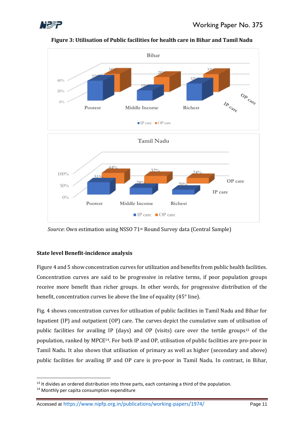



**Figure 3: Utilisation of Public facilities for health care in Bihar and Tamil Nadu**

*Source*: Own estimation using NSSO 71<sup>st</sup> Round Survey data (Central Sample)

## **State level Benefit-incidence analysis**

Figure 4 and 5 show concentration curves for utilization and benefits from public health facilities. Concentration curves are said to be progressive in relative terms, if poor population groups receive more benefit than richer groups. In other words, for progressive distribution of the benefit, concentration curves lie above the line of equality (45° line).

Fig. 4 shows concentration curves for utilisation of public facilities in Tamil Nadu and Bihar for Inpatient (IP) and outpatient (OP) care. The curves depict the cumulative sum of utilisation of public facilities for availing IP (days) and OP (visits) care over the tertile groups<sup>13</sup> of the population, ranked by MPCE14. For both IP and OP, utilisation of public facilities are pro-poor in Tamil Nadu. It also shows that utilisation of primary as well as higher (secondary and above) public facilities for availing IP and OP care is pro-poor in Tamil Nadu. In contrast, in Bihar,

1

<sup>&</sup>lt;sup>13</sup> It divides an ordered distribution into three parts, each containing a third of the population.

<sup>14</sup> Monthly per capita consumption expenditure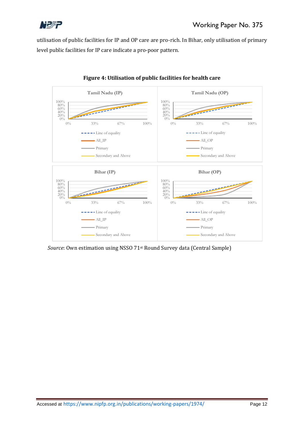

utilisation of public facilities for IP and OP care are pro-rich. In Bihar, only utilisation of primary level public facilities for IP care indicate a pro-poor pattern.



#### **Figure 4: Utilisation of public facilities for health care**

*Source*: Own estimation using NSSO 71st Round Survey data (Central Sample)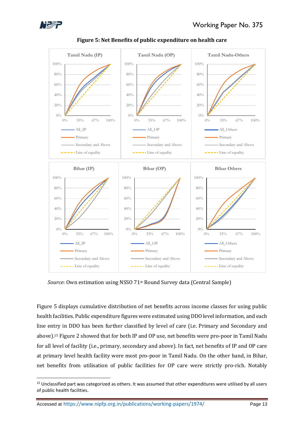



**Figure 5: Net Benefits of public expenditure on health care**

*Source*: Own estimation using NSSO 71st Round Survey data (Central Sample)

Figure 5 displays cumulative distribution of net benefits across income classes for using public health facilities. Public expenditure figures were estimated using DDO level information, and each line entry in DDO has been further classified by level of care (i.e. Primary and Secondary and above).<sup>15</sup> Figure 2 showed that for both IP and OP use, net benefits were pro-poor in Tamil Nadu for all level of facility (i.e., primary, secondary and above). In fact, net benefits of IP and OP care at primary level health facility were most pro-poor in Tamil Nadu. On the other hand, in Bihar, net benefits from utilisation of public facilities for OP care were strictly pro-rich. Notably

<sup>1</sup> <sup>15</sup> Unclassified part was categorized as others. It was assumed that other expenditures were utilised by all users of public health facilities.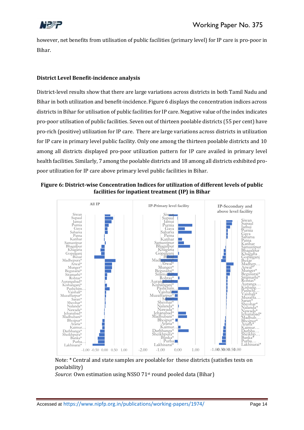

however, net benefits from utilisation of public facilities (primary level) for IP care is pro-poor in Bihar.

## **District Level Benefit-incidence analysis**

District-level results show that there are large variations across districts in both Tamil Nadu and Bihar in both utilization and benefit-incidence. Figure 6 displays the concentration indices across districts in Bihar for utilisation of public facilities for IP care. Negative value of the index indicates pro-poor utilisation of public facilities. Seven out of thirteen poolable districts (55 per cent) have pro-rich (positive) utilization for IP care. There are large variations across districts in utilization for IP care in primary level public facility. Only one among the thirteen poolable districts and 10 among all districts displayed pro-poor utilization pattern for IP care availed in primary level health facilities. Similarly, 7 among the poolable districts and 18 among all districts exhibited propoor utilization for IP care above primary level public facilities in Bihar.







*Source*: Own estimation using NSSO 71st round pooled data (Bihar)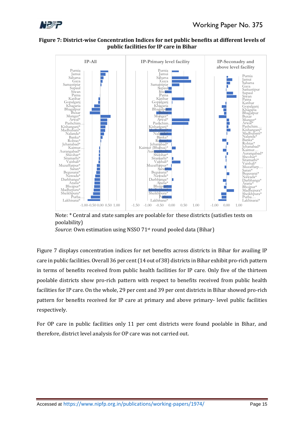

#### **Figure 7: District-wise Concentration Indices for net public benefits at different levels of public facilities for IP care in Bihar**





*Source*: Own estimation using NSSO 71<sup>st</sup> round pooled data (Bihar)

Figure 7 displays concentration indices for net benefits across districts in Bihar for availing IP care in public facilities. Overall 36 per cent(14 out of 38) districts in Bihar exhibit pro-rich pattern in terms of benefits received from public health facilities for IP care. Only five of the thirteen poolable districts show pro-rich pattern with respect to benefits received from public health facilities for IP care. On the whole, 29 per cent and 39 per cent districts in Bihar showed pro-rich pattern for benefits received for IP care at primary and above primary- level public facilities respectively.

For OP care in public facilities only 11 per cent districts were found poolable in Bihar, and therefore, district level analysis for OP care was not carried out.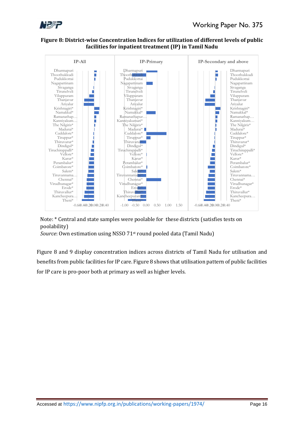

#### **Figure 8: District-wise Concentration Indices for utilization of different levels of public facilities for inpatient treatment (IP) in Tamil Nadu**



Note: \* Central and state samples were poolable for these districts (satisfies tests on poolability)

*Source*: Own estimation using NSSO 71st round pooled data (Tamil Nadu)

Figure 8 and 9 display concentration indices across districts of Tamil Nadu for utilisation and benefits from public facilities for IP care. Figure 8 shows that utilisation pattern of public facilities for IP care is pro-poor both at primary as well as higher levels.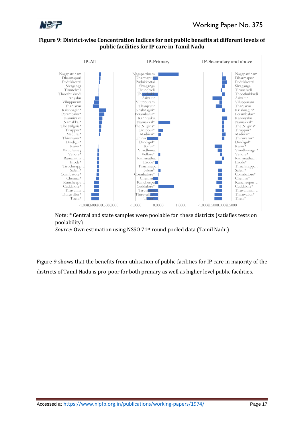

#### **Figure 9: District-wise Concentration Indices for net public benefits at different levels of public facilities for IP care in Tamil Nadu**





*Source*: Own estimation using NSSO 71st round pooled data (Tamil Nadu)

Figure 9 shows that the benefits from utilisation of public facilities for IP care in majority of the districts of Tamil Nadu is pro-poor for both primary as well as higher level public facilities.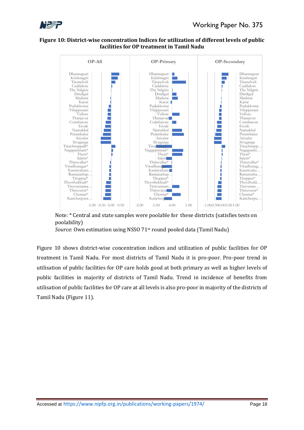

#### **Figure 10: District-wise concentration Indices for utilization of different levels of public facilities for OP treatment in Tamil Nadu**





*Source*: Own estimation using NSSO 71st round pooled data (Tamil Nadu)

Figure 10 shows district-wise concentration indices and utilization of public facilities for OP treatment in Tamil Nadu. For most districts of Tamil Nadu it is pro-poor. Pro-poor trend in utilisation of public facilities for OP care holds good at both primary as well as higher levels of public facilities in majority of districts of Tamil Nadu. Trend in incidence of benefits from utilisation of public facilities for OP care at all levels is also pro-poor in majority of the districts of Tamil Nadu (Figure 11).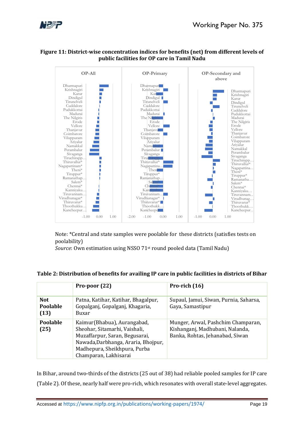

#### **Figure 11: District-wise concentration indices for benefits (net) from different levels of public facilities for OP care in Tamil Nadu**



Note: \*Central and state samples were poolable for these districts (satisfies tests on poolability)

*Source*: Own estimation using NSSO 71st round pooled data (Tamil Nadu)

#### **Table 2: Distribution of benefits for availing IP care in public facilities in districts of Bihar**

|                                       | Pro-poor $(22)$                                                                                                                                                                                | Pro-rich (16)                                                                                            |
|---------------------------------------|------------------------------------------------------------------------------------------------------------------------------------------------------------------------------------------------|----------------------------------------------------------------------------------------------------------|
| <b>Not</b><br><b>Poolable</b><br>(13) | Patna, Katihar, Katihar, Bhagalpur,<br>Gopalganj, Gopalganj, Khagaria,<br><b>Buxar</b>                                                                                                         | Supaul, Jamui, Siwan, Purnia, Saharsa,<br>Gaya, Samastipur                                               |
| <b>Poolable</b><br>(25)               | Kaimur(Bhabua), Aurangabad,<br>Sheohar, Sitamarhi, Vaishali,<br>Muzaffarpur, Saran, Begusarai,<br>Nawada, Darbhanga, Araria, Bhojpur,<br>Madhepura, Sheikhpura, Purba<br>Champaran, Lakhisarai | Munger, Arwal, Pashchim Champaran,<br>Kishanganj, Madhubani, Nalanda,<br>Banka, Rohtas, Jehanabad, Siwan |

In Bihar, around two-thirds of the districts (25 out of 38) had reliable pooled samples for IP care (Table 2). Of these, nearly half were pro-rich, which resonates with overall state-level aggregates.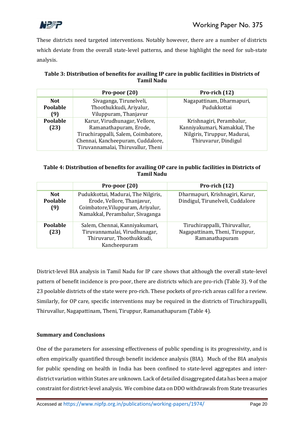

These districts need targeted interventions. Notably however, there are a number of districts which deviate from the overall state-level patterns, and these highlight the need for sub-state analysis.

|                        | Pro-poor $(20)$                                    | Pro-rich (12)                            |
|------------------------|----------------------------------------------------|------------------------------------------|
| <b>Not</b><br>Poolable | Sivaganga, Tirunelveli,<br>Thoothukkudi, Ariyalur, | Nagapattinam, Dharmapuri,<br>Pudukkottai |
| [9]                    | Viluppuram, Thanjavur                              |                                          |
| Poolable               | Karur, Virudhunagar, Vellore,                      | Krishnagiri, Perambalur,                 |
| (23)                   | Ramanathapuram, Erode,                             | Kanniyakumari, Namakkal, The             |
|                        | Tiruchirappalli, Salem, Coimbatore,                | Nilgiris, Tiruppur, Madurai,             |
|                        | Chennai, Kancheepuram, Cuddalore,                  | Thiruvarur, Dindigul                     |
|                        | Tiruvannamalai, Thiruvallur, Theni                 |                                          |

## **Table 3: Distribution of benefits for availing IP care in public facilities in Districts of Tamil Nadu**

# **Table 4: Distribution of benefits for availing OP care in public facilities in Districts of Tamil Nadu**

|                               | Pro-poor (20)                                                                                                                             | Pro-rich (12)                                                                     |
|-------------------------------|-------------------------------------------------------------------------------------------------------------------------------------------|-----------------------------------------------------------------------------------|
| <b>Not</b><br>Poolable<br>(9) | Pudukkottai, Madurai, The Nilgiris,<br>Erode, Vellore, Thanjavur,<br>Coimbatore, Viluppuram, Ariyalur,<br>Namakkal, Perambalur, Sivaganga | Dharmapuri, Krishnagiri, Karur,<br>Dindigul, Tirunelveli, Cuddalore               |
| <b>Poolable</b><br>(23)       | Salem, Chennai, Kanniyakumari,<br>Tiruvannamalai, Virudhunagar,<br>Thiruvarur, Thoothukkudi,<br>Kancheepuram                              | Tiruchirappalli, Thiruvallur,<br>Nagapattinam, Theni, Tiruppur,<br>Ramanathapuram |

District-level BIA analysis in Tamil Nadu for IP care shows that although the overall state-level pattern of benefit incidence is pro-poor, there are districts which are pro-rich (Table 3). 9 of the 23 poolable districts of the state were pro-rich. These pockets of pro-rich areas call for a review. Similarly, for OP care, specific interventions may be required in the districts of Tiruchirappalli, Thiruvallur, Nagapattinam, Theni, Tiruppur, Ramanathapuram (Table 4).

## **Summary and Conclusions**

One of the parameters for assessing effectiveness of public spending is its progressivity, and is often empirically quantified through benefit incidence analysis (BIA). Much of the BIA analysis for public spending on health in India has been confined to state-level aggregates and interdistrict variation within States are unknown. Lack of detailed disaggregated data has been a major constraint for district-level analysis. We combine data on DDO withdrawals from State treasuries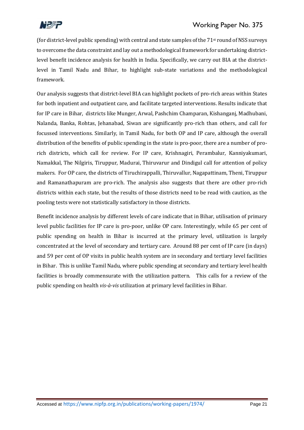

(for district-level public spending) with central and state samples of the  $71<sup>st</sup>$  round of NSS surveys to overcome the data constraint and lay out a methodological framework for undertaking districtlevel benefit incidence analysis for health in India. Specifically, we carry out BIA at the districtlevel in Tamil Nadu and Bihar, to highlight sub-state variations and the methodological framework.

Our analysis suggests that district-level BIA can highlight pockets of pro-rich areas within States for both inpatient and outpatient care, and facilitate targeted interventions. Results indicate that for IP care in Bihar, districts like Munger, Arwal, Pashchim Champaran, Kishanganj, Madhubani, Nalanda, Banka, Rohtas, Jehanabad, Siwan are significantly pro-rich than others, and call for focussed interventions. Similarly, in Tamil Nadu, for both OP and IP care, although the overall distribution of the benefits of public spending in the state is pro-poor, there are a number of prorich districts, which call for review. For IP care, Krishnagiri, Perambalur, Kanniyakumari, Namakkal, The Nilgiris, Tiruppur, Madurai, Thiruvarur and Dindigul call for attention of policy makers. For OP care, the districts of Tiruchirappalli, Thiruvallur, Nagapattinam, Theni, Tiruppur and Ramanathapuram are pro-rich. The analysis also suggests that there are other pro-rich districts within each state, but the results of those districts need to be read with caution, as the pooling tests were not statistically satisfactory in those districts.

Benefit incidence analysis by different levels of care indicate that in Bihar, utilisation of primary level public facilities for IP care is pro-poor, unlike OP care. Interestingly, while 65 per cent of public spending on health in Bihar is incurred at the primary level, utilization is largely concentrated at the level of secondary and tertiary care. Around 88 per cent of IP care (in days) and 59 per cent of OP visits in public health system are in secondary and tertiary level facilities in Bihar. This is unlike Tamil Nadu, where public spending at secondary and tertiary level health facilities is broadly commensurate with the utilization pattern. This calls for a review of the public spending on health *vis-à-vis* utilization at primary level facilities in Bihar.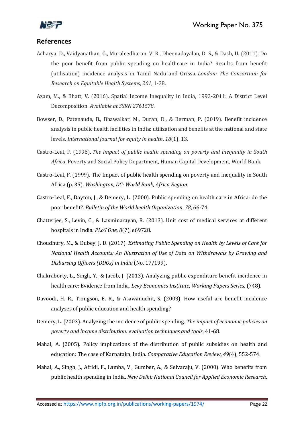

# **References**

- Acharya, D., Vaidyanathan, G., Muraleedharan, V. R., Dheenadayalan, D. S., & Dash, U. (2011). Do the poor benefit from public spending on healthcare in India? Results from benefit (utilisation) incidence analysis in Tamil Nadu and Orissa. *London: The Consortium for Research on Equitable Health Systems*, *201*, 1-38.
- Azam, M., & Bhatt, V. (2016). Spatial Income Inequality in India, 1993-2011: A District Level Decomposition. *Available at SSRN 2761578*.
- Bowser, D., Patenaude, B., Bhawalkar, M., Duran, D., & Berman, P. (2019). Benefit incidence analysis in public health facilities in India: utilization and benefits at the national and state levels. *International journal for equity in health*, *18*(1), 13.
- Castro-Leal, F. (1996). *The impact of public health spending on poverty and inequality in South Africa*. Poverty and Social Policy Department, Human Capital Development, World Bank.
- Castro-Leal, F. (1999). The Impact of public health spending on poverty and inequality in South Africa (p. 35). *Washington, DC: World Bank, Africa Region*.
- Castro-Leal, F., Dayton, J., & Demery, L. (2000). Public spending on health care in Africa: do the poor benefit?. *Bulletin of the World health Organization*, *78*, 66-74.
- Chatterjee, S., Levin, C., & Laxminarayan, R. (2013). Unit cost of medical services at different hospitals in India. *PLoS One*, *8*(7), e69728.
- Choudhury, M., & Dubey, J. D. (2017). *Estimating Public Spending on Health by Levels of Care for National Health Accounts: An Illustration of Use of Data on Withdrawals by Drawing and Disbursing Officers (DDOs) in India* (No. 17/199).
- Chakraborty, L., Singh, Y., & Jacob, J. (2013). Analyzing public expenditure benefit incidence in health care: Evidence from India. *Levy Economics Institute, Working Papers Series*, (748).
- Davoodi, H. R., Tiongson, E. R., & Asawanuchit, S. (2003). How useful are benefit incidence analyses of public education and health spending?
- Demery, L. (2003). Analyzing the incidence of public spending. *The impact of economic policies on poverty and income distribution: evaluation techniques and tools*, 41-68.
- Mahal, A. (2005). Policy implications of the distribution of public subsidies on health and education: The case of Karnataka, India. *Comparative Education Review*, *49*(4), 552-574.
- Mahal, A., Singh, J., Afridi, F., Lamba, V., Gumber, A., & Selvaraju, V. (2000). Who benefits from public health spending in India. *New Delhi: National Council for Applied Economic Research*.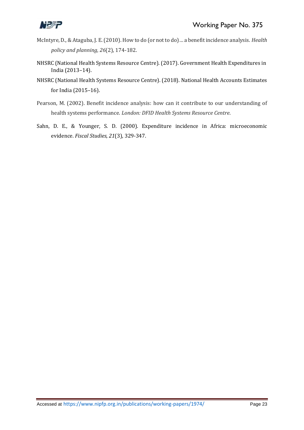

- McIntyre, D., & Ataguba, J. E. (2010). How to do (or not to do)… a benefit incidence analysis. *Health policy and planning*, *26*(2), 174-182.
- NHSRC (National Health Systems Resource Centre). (2017). Government Health Expenditures in India (2013–14).
- NHSRC (National Health Systems Resource Centre). (2018). National Health Accounts Estimates for India (2015–16).
- Pearson, M. (2002). Benefit incidence analysis: how can it contribute to our understanding of health systems performance. *London: DFID Health Systems Resource Centre*.
- Sahn, D. E., & Younger, S. D. (2000). Expenditure incidence in Africa: microeconomic evidence. *Fiscal Studies*, *21*(3), 329-347.